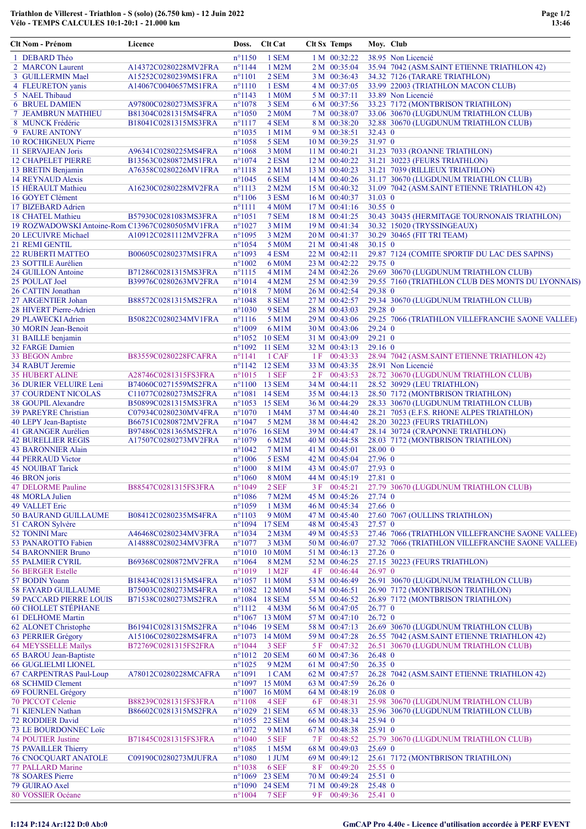## Triathlon de Villerest - Triathlon - S (solo) (26.750 km) - 12 Juin 2022 Vélo - TEMPS CALCULES 10:1-20:1 - 21.000 km

| Clt Nom - Prénom                                | Licence              | Doss.                              | <b>Clt Cat</b>         | <b>Clt Sx Temps</b>            | Moy. Club          |                                                                          |
|-------------------------------------------------|----------------------|------------------------------------|------------------------|--------------------------------|--------------------|--------------------------------------------------------------------------|
| 1 DEBARD Théo                                   |                      | $n^{\circ}1150$                    | 1 SEM                  | 1 M 00:32:22                   |                    | 38.95 Non Licencié                                                       |
| 2 MARCON Laurent                                | A14372C0280228MV2FRA | $n^{\circ}$ 1144                   | 1 M2M                  | 2 M 00:35:04                   |                    | 35.94 7042 (ASM.SAINT ETIENNE TRIATHLON 42)                              |
| 3 GUILLERMIN Mael                               | A15252C0280239MS1FRA | $n^{\circ}1101$                    | 2 SEM                  | 3 M 00:36:43                   |                    | 34.32 7126 (TARARE TRIATHLON)                                            |
| 4 FLEURETON yanis                               | A14067C0040657MS1FRA | $n^{\circ}1110$                    | 1 ESM                  | 4 M 00:37:05                   |                    | 33.99 22003 (TRIATHLON MACON CLUB)                                       |
| 5 NAEL Thibaud                                  |                      | $n^{\circ}1143$                    | 1 M0M                  | 5 M 00:37:11                   |                    | 33.89 Non Licencié                                                       |
| <b>6 BRUEL DAMIEN</b>                           | A97800C0280273MS3FRA | $n^{\circ}1078$                    | 3 SEM                  | 6 M 00:37:56                   |                    | 33.23 7172 (MONTBRISON TRIATHLON)                                        |
| <b>7 JEAMBRUN MATHIEU</b>                       | B81304C0281315MS4FRA | $n^{\circ}1050$                    | 2 M0M                  | 7 M 00:38:07                   |                    | 33.06 30670 (LUGDUNUM TRIATHLON CLUB)                                    |
| 8 MUNCK Frédéric                                | B18041C0281315MS3FRA | $n^{\circ}1117$                    | 4 SEM                  | 8 M 00:38:20                   |                    | 32.88 30670 (LUGDUNUM TRIATHLON CLUB)                                    |
| 9 FAURE ANTONY                                  |                      | $n^{\circ}1035$                    | $1$ M $1$ M            | 9 M 00:38:51                   | 32.43 0            |                                                                          |
| 10 ROCHIGNEUX Pierre                            |                      | $n^{\circ}1058$                    | 5 SEM                  | 10 M 00:39:25                  | 31.97 0            |                                                                          |
| 11 SERVAJEAN Joris                              | A96341C0280225MS4FRA | $n^{\circ}1068$                    | 3 M0M                  | 11 M 00:40:21                  |                    | 31.23 7033 (ROANNE TRIATHLON)                                            |
| <b>12 CHAPELET PIERRE</b>                       | B13563C0280872MS1FRA | $n^{\circ}1074$                    | 2 ESM                  | 12 M 00:40:22                  |                    | 31.21 30223 (FEURS TRIATHLON)                                            |
| 13 BRETIN Benjamin                              | A76358C0280226MV1FRA | $n^{\circ}1118$                    | $2$ M $1$ M            | 13 M 00:40:23                  |                    | 31.21 7039 (RILLIEUX TRIATHLON)<br>31.17 30670 (LUGDUNUM TRIATHLON CLUB) |
| 14 REYNAUD Alexis<br>15 HÉRAULT Mathieu         |                      | $n^{\circ}1045$<br>$n^{\circ}1113$ | 6 SEM<br>2 M2M         | 14 M 00:40:26<br>15 M 00:40:32 |                    |                                                                          |
| 16 GOYET Clément                                | A16230C0280228MV2FRA | $n^{\circ}1106$                    | 3 ESM                  | 16 M 00:40:37                  | 31.03 0            | 31.09 7042 (ASM.SAINT ETIENNE TRIATHLON 42)                              |
| 17 BIZEBARD Adrien                              |                      | $n^{\circ}1111$                    | 4 M0M                  | 17 M 00:41:16                  | $30.55$ 0          |                                                                          |
| 18 CHATEL Mathieu                               | B57930C0281083MS3FRA | $n^{\circ}1051$                    | 7 SEM                  | 18 M 00:41:25                  |                    | 30.43 30435 (HERMITAGE TOURNONAIS TRIATHLON)                             |
| 19 ROZWADOWSKI Antoine-Rom C13967C0280505MV1FRA |                      | $n^{\circ}1027$                    | 3 M1M                  | 19 M 00:41:34                  |                    | 30.32 15020 (TRYSSINGEAUX)                                               |
| 20 LECUIVRE Michael                             | A10912C0281112MV2FRA | $n^{\circ}1095$                    | 3 M2M                  | 20 M 00:41:37                  |                    | 30.29 30465 (FIT TRI TEAM)                                               |
| <b>21 REMI GENTIL</b>                           |                      | $n^{\circ}1054$                    | 5 M <sub>0</sub> M     | 21 M 00:41:48                  | $30.15$ 0          |                                                                          |
| 22 RUBERTI MATTEO                               | B00605C0280237MS1FRA | $n^{\circ}1093$                    | 4 ESM                  | 22 M 00:42:11                  |                    | 29.87 7124 (COMITE SPORTIF DU LAC DES SAPINS)                            |
| 23 SOTTILE Aurélien                             |                      | $n^{\circ}1002$                    | 6 M0M                  | 23 M 00:42:22                  | 29.75 0            |                                                                          |
| 24 GUILLON Antoine                              | B71286C0281315MS3FRA | $n^{\circ}1115$                    | $4$ M $1$ M            | 24 M 00:42:26                  |                    | 29.69 30670 (LUGDUNUM TRIATHLON CLUB)                                    |
| 25 POULAT Joel                                  | B39976C0280263MV2FRA | $n^{\circ}1014$                    | 4 M2M                  | 25 M 00:42:39                  |                    | 29.55 7160 (TRIATHLON CLUB DES MONTS DU LYONNAIS)                        |
| 26 CATTIN Jonathan                              |                      | $n^{\circ}1018$                    | <b>7 M0M</b>           | 26 M 00:42:54                  | 29.38 0            |                                                                          |
| 27 ARGENTIER Johan                              | B88572C0281315MS2FRA | $n^{\circ}1048$                    | 8 SEM                  | 27 M 00:42:57                  |                    | 29.34 30670 (LUGDUNUM TRIATHLON CLUB)                                    |
| 28 HIVERT Pierre-Adrien                         |                      | $n^{\circ}1030$                    | 9 SEM                  | 28 M 00:43:03                  | 29.28 0            |                                                                          |
| 29 PLAWECKI Adrien                              | B50822C0280234MV1FRA | $n^{\circ}1116$                    | 5 M1M                  | 29 M 00:43:06                  |                    | 29.25 7066 (TRIATHLON VILLEFRANCHE SAONE VALLEE)                         |
| 30 MORIN Jean-Benoit                            |                      | $n^{\circ}1009$                    | 6 M1M                  | 30 M 00:43:06                  | 29.24 0            |                                                                          |
| 31 BAILLE benjamin                              |                      | $n^{\circ}1052$                    | <b>10 SEM</b>          | 31 M 00:43:09                  | 29.21 0            |                                                                          |
| 32 FARGE Damien                                 |                      |                                    | n°1092 11 SEM          | 32 M 00:43:13                  | 29.16 0            |                                                                          |
| 33 BEGON Ambre                                  | B83559C0280228FCAFRA | $n^{\circ}1141$                    | 1 CAF                  | 1 F 00:43:33                   |                    | 28.94 7042 (ASM.SAINT ETIENNE TRIATHLON 42)                              |
| 34 RABUT Jeremie                                |                      |                                    | n°1142 12 SEM          | 33 M 00:43:35                  |                    | 28.91 Non Licencié                                                       |
| <b>35 HUBERT ALINE</b>                          | A28746C0281315FS3FRA | $n^{\circ}1015$                    | 1 SEF                  | 2 F 00:43:53                   |                    | 28.72 30670 (LUGDUNUM TRIATHLON CLUB)                                    |
| 36 DURIER VELUIRE Leni                          | B74060C0271559MS2FRA |                                    | n°1100 13 SEM          | 34 M 00:44:11                  |                    | 28.52 30929 (LEU TRIATHLON)                                              |
| <b>37 COURDENT NICOLAS</b>                      | C11077C0280273MS2FRA |                                    | n°1081 14 SEM          | 35 M 00:44:13                  |                    | 28.50 7172 (MONTBRISON TRIATHLON)                                        |
| 38 GOUPIL Alexandre                             | B50899C0281315MS3FRA | $n^{\circ}1053$                    | <b>15 SEM</b>          | 36 M 00:44:29                  |                    | 28.33 30670 (LUGDUNUM TRIATHLON CLUB)                                    |
| 39 PAREYRE Christian                            | C07934C0280230MV4FRA | $n^{\circ}1070$                    | 1 M4M                  | 37 M 00:44:40                  |                    | 28.21 7053 (E.F.S. RHONE ALPES TRIATHLON)                                |
| 40 LEPY Jean-Baptiste                           | B66751C0280872MV2FRA | $n^{\circ}1047$                    | 5 M2M                  | 38 M 00:44:42                  |                    | 28.20 30223 (FEURS TRIATHLON)                                            |
| 41 GRANGER Aurélien                             | B97486C0281365MS2FRA | $n^{\circ}1076$                    | <b>16 SEM</b>          | 39 M 00:44:47                  |                    | 28.14 30724 (CRAPONNE TRIATHLON)                                         |
| <b>42 BURELLIER REGIS</b>                       | A17507C0280273MV2FRA | $n^{\circ}1079$                    | 6 M2M                  | 40 M 00:44:58                  |                    | 28.03 7172 (MONTBRISON TRIATHLON)                                        |
| 43 BARONNIER Alain                              |                      | $n^{\circ}1042$                    | 7 M1M                  | 41 M 00:45:01                  | $28.00 \text{ o}$  |                                                                          |
| 44 PERRAUD Victor                               |                      | $n^{\circ}1006$                    | 5 ESM                  | 42 M 00:45:04                  | 27.96 0            |                                                                          |
| 45 NOUIBAT Tarick                               |                      | $n^{\circ}1000$                    | 8 M1M                  | 43 M 00:45:07                  | 27.93 0            |                                                                          |
| 46 BRON joris                                   |                      | $n^{\circ}1060$                    | 8 M <sub>0</sub> M     | 44 M 00:45:19                  | 27.81 0            |                                                                          |
| 47 DELORME Pauline                              | B88547C0281315FS3FRA | $n^{\circ}1049$                    | 2 SEF                  | 3 F 00:45:21                   |                    | 27.79 30670 (LUGDUNUM TRIATHLON CLUB)                                    |
| 48 MORLA Julien                                 |                      | $n^{\circ}1086$                    | 7 M2M                  | 45 M 00:45:26                  | 27.74 0            |                                                                          |
| 49 VALLET Eric                                  |                      | $n^{\circ}1059$                    | 1 M3M                  | 46 M 00:45:34                  | 27.66 0            |                                                                          |
| <b>50 BAURAND GUILLAUME</b>                     | B08412C0280235MS4FRA | $n^{\circ}1103$                    | 9 M <sub>0</sub> M     | 47 M 00:45:40                  |                    | 27.60 7067 (OULLINS TRIATHLON)                                           |
| 51 CARON Sylvère                                |                      |                                    | n°1094 17 SEM          | 48 M 00:45:43                  | 27.57 0            |                                                                          |
| 52 TONINI Marc                                  | A46468C0280234MV3FRA | $n^{\circ}1034$                    | 2 M3M                  | 49 M 00:45:53                  |                    | 27.46 7066 (TRIATHLON VILLEFRANCHE SAONE VALLEE)                         |
| 53 PANAROTTO Fabien                             | A14888C0280234MV3FRA | $n^{\circ}1077$                    | 3 M3M                  | 50 M 00:46:07                  |                    | 27.32 7066 (TRIATHLON VILLEFRANCHE SAONE VALLEE)                         |
| 54 BARONNIER Bruno                              |                      |                                    | $n^{\circ}1010$ 10 M0M | 51 M 00:46:13                  | 27.26 0            |                                                                          |
| <b>55 PALMIER CYRIL</b>                         | B69368C0280872MV2FRA | $n^{\circ}1064$                    | 8 M2M                  | 52 M 00:46:25                  |                    | 27.15 30223 (FEURS TRIATHLON)                                            |
| 56 BERGER Estelle                               |                      | $n^{\circ}1019$                    | 1 M <sub>2</sub> F     | 4 F 00:46:44                   | 26.97 0            |                                                                          |
| 57 BODIN Yoann                                  | B18434C0281315MS4FRA |                                    | $n^{\circ}1057$ 11 M0M | 53 M 00:46:49                  |                    | 26.91 30670 (LUGDUNUM TRIATHLON CLUB)                                    |
| <b>58 FAYARD GUILLAUME</b>                      | B75003C0280273MS4FRA |                                    | $n^{\circ}1082$ 12 M0M | 54 M 00:46:51                  |                    | 26.90 7172 (MONTBRISON TRIATHLON)                                        |
| <b>59 PACCARD PIERRE LOUIS</b>                  | B71538C0280273MS2FRA |                                    | n°1084 18 SEM          | 55 M 00:46:52                  |                    | 26.89 7172 (MONTBRISON TRIATHLON)                                        |
| <b>60 CHOLLET STÉPHANE</b>                      |                      | $n^{\circ}1112$                    | 4 M <sub>3</sub> M     | 56 M 00:47:05                  | 26.77 0            |                                                                          |
| 61 DELHOME Martin                               |                      |                                    | n°1067 13 M0M          | 57 M 00:47:10                  | 26.72 0            |                                                                          |
| 62 ALONET Christophe                            | B61941C0281315MS2FRA |                                    | n°1046 19 SEM          | 58 M 00:47:13                  |                    | 26.69 30670 (LUGDUNUM TRIATHLON CLUB)                                    |
| 63 PERRIER Grégory                              | A15106C0280228MS4FRA |                                    | $n^{\circ}1073$ 14 M0M | 59 M 00:47:28                  |                    | 26.55 7042 (ASM.SAINT ETIENNE TRIATHLON 42)                              |
| 64 MEYSSELLE Maïlys                             | B72769C0281315FS2FRA | $n^{\circ}1044$                    | 3 SEF                  | 5 F 00:47:32                   |                    | 26.51 30670 (LUGDUNUM TRIATHLON CLUB)                                    |
| 65 BAROU Jean-Baptiste                          |                      |                                    | n°1012 20 SEM          | 60 M 00:47:36                  | 26.48 0            |                                                                          |
| <b>66 GUGLIELMI LIONEL</b>                      |                      | $n^{\circ}1025$                    | 9 M2M                  | 61 M 00:47:50                  | $26.35\ 0$         |                                                                          |
| 67 CARPENTRAS Paul-Loup                         | A78012C0280228MCAFRA | $n^{\circ}1091$                    | 1 CAM                  | 62 M 00:47:57                  |                    | 26.28 7042 (ASM.SAINT ETIENNE TRIATHLON 42)                              |
| 68 SCHMID Clement                               |                      |                                    | n°1097 15 M0M          | 63 M 00:47:59                  | $26.26 \text{ } 0$ |                                                                          |
| 69 FOURNEL Grégory                              |                      |                                    | $n^{\circ}1007$ 16 M0M | 64 M 00:48:19                  | 26.08 0            |                                                                          |
| 70 PICCOT Celenie                               | B88239C0281315FS3FRA | $n^{\circ}1108$                    | 4 SEF                  | 6F 00:48:31                    |                    | 25.98 30670 (LUGDUNUM TRIATHLON CLUB)                                    |
| 71 KIENLEN Nathan                               | B86602C0281315MS2FRA |                                    | n°1029 21 SEM          | 65 M 00:48:33                  |                    | 25.96 30670 (LUGDUNUM TRIATHLON CLUB)                                    |
| 72 RODDIER David                                |                      |                                    | n°1055 22 SEM          | 66 M 00:48:34                  | 25.94 0            |                                                                          |
| 73 LE BOURDONNEC Loïc                           |                      | $n^{\circ}1072$                    | 9 M1M                  | 67 M 00:48:38                  | 25.91 0            |                                                                          |
| 74 POUTIER Justine                              | B71845C0281315FS3FRA | $n^{\circ}1040$                    | 5 SEF                  | 7 F 00:48:52                   |                    | 25.79 30670 (LUGDUNUM TRIATHLON CLUB)                                    |
| <b>75 PAVAILLER Thierry</b>                     |                      | $n^{\circ}1085$                    | 1 M5M                  | 68 M 00:49:03                  | 25.69 0            |                                                                          |
| <b>76 CNOCQUART ANATOLE</b>                     | C09190C0280273MJUFRA | $n^{\circ}1080$                    | 1 JUM                  | 69 M 00:49:12                  |                    | 25.61 7172 (MONTBRISON TRIATHLON)                                        |
| 77 PALLARD Marine<br><b>78 SOARES Pierre</b>    |                      | $n^{\circ}1038$                    | 6 SEF<br>n°1069 23 SEM | 8 F 00:49:20                   | 25.55 0<br>25.51 0 |                                                                          |
| 79 GUIRAO Axel                                  |                      |                                    | n°1090 24 SEM          | 70 M 00:49:24                  | 25.48 0            |                                                                          |
| 80 VOSSIER Océane                               |                      | $n^{\circ}1004$                    | 7 SEF                  | 71 M 00:49:28<br>9F 00:49:36   | 25.41 0            |                                                                          |
|                                                 |                      |                                    |                        |                                |                    |                                                                          |